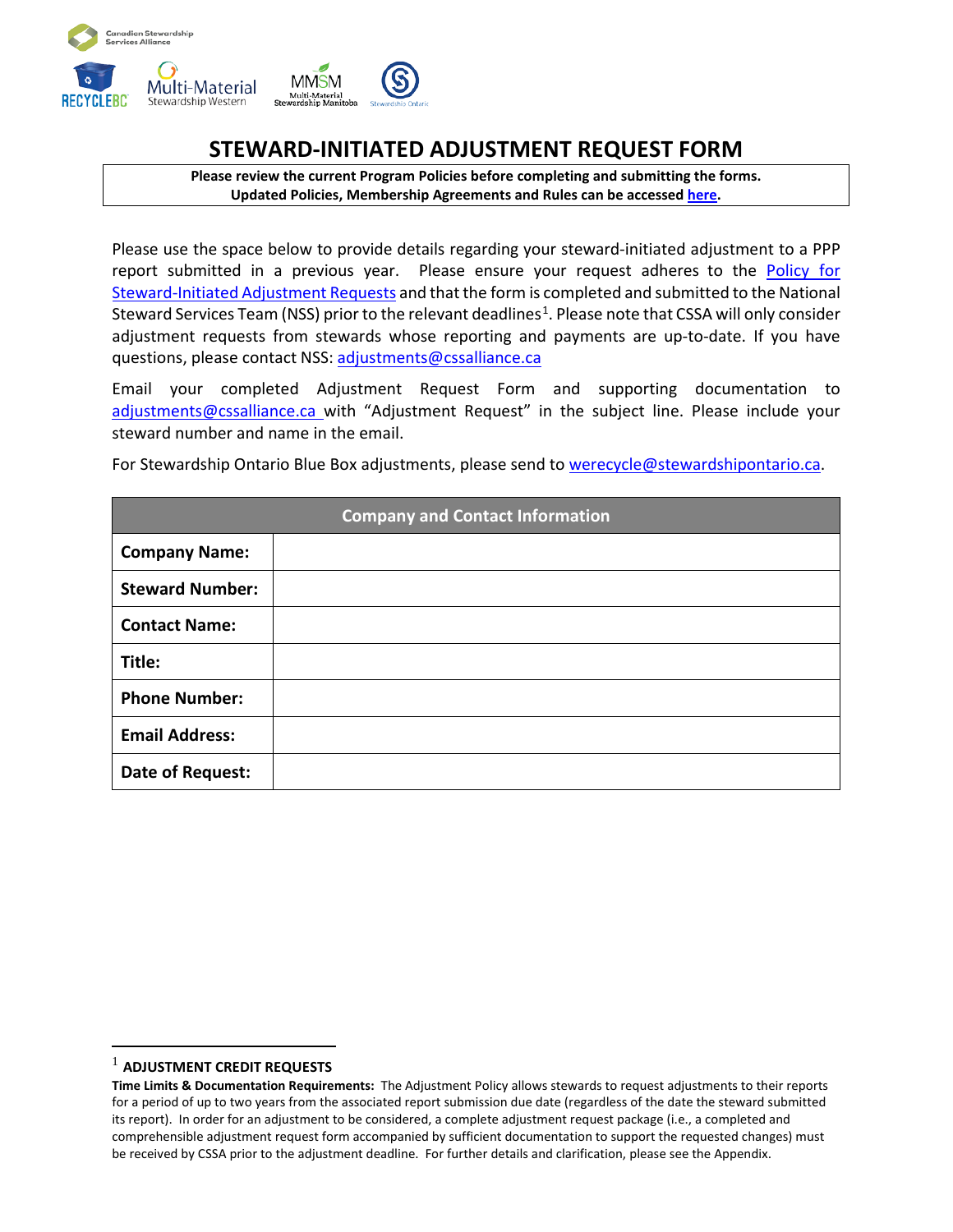

# **STEWARD-INITIATED ADJUSTMENT REQUEST FORM**

**Please review the current Program Policies before completing and submitting the forms. Updated Policies, Membership Agreements and Rules can be accessed [here.](https://www.cssalliance.ca/currentpolicies/)** 

Please use the space below to provide details regarding your steward-initiated adjustment to a PPP report submitted in a previous year. Please ensure your request adheres to the [Policy for](https://www.cssalliance.ca/currentpolicies/)  [Steward-Initiated Adjustment Requests](https://www.cssalliance.ca/currentpolicies/) and that the form is completed and submitted to the National Steward Services Team (NSS) prior to the relevant deadlines<sup>[1](#page-0-0)</sup>. Please note that CSSA will only consider adjustment requests from stewards whose reporting and payments are up-to-date. If you have questions, please contact NSS: [adjustments@cssalliance.ca](mailto:adjustments@cssalliance.ca)

Email your completed Adjustment Request Form and supporting documentation to [adjustments@cssalliance.ca](mailto:adjustments@cssalliance.ca)\_with "Adjustment Request" in the subject line. Please include your steward number and name in the email.

For Stewardship Ontario Blue Box adjustments, please send to [werecycle@stewardshipontario.ca.](mailto:werecycle@stewardshipontario.ca)

| <b>Company and Contact Information</b> |  |  |  |
|----------------------------------------|--|--|--|
| <b>Company Name:</b>                   |  |  |  |
| <b>Steward Number:</b>                 |  |  |  |
| <b>Contact Name:</b>                   |  |  |  |
| Title:                                 |  |  |  |
| <b>Phone Number:</b>                   |  |  |  |
| <b>Email Address:</b>                  |  |  |  |
| Date of Request:                       |  |  |  |

<span id="page-0-0"></span><sup>1</sup> **ADJUSTMENT CREDIT REQUESTS**

**Time Limits & Documentation Requirements:** The Adjustment Policy allows stewards to request adjustments to their reports for a period of up to two years from the associated report submission due date (regardless of the date the steward submitted its report). In order for an adjustment to be considered, a complete adjustment request package (i.e., a completed and comprehensible adjustment request form accompanied by sufficient documentation to support the requested changes) must be received by CSSA prior to the adjustment deadline. For further details and clarification, please see the Appendix.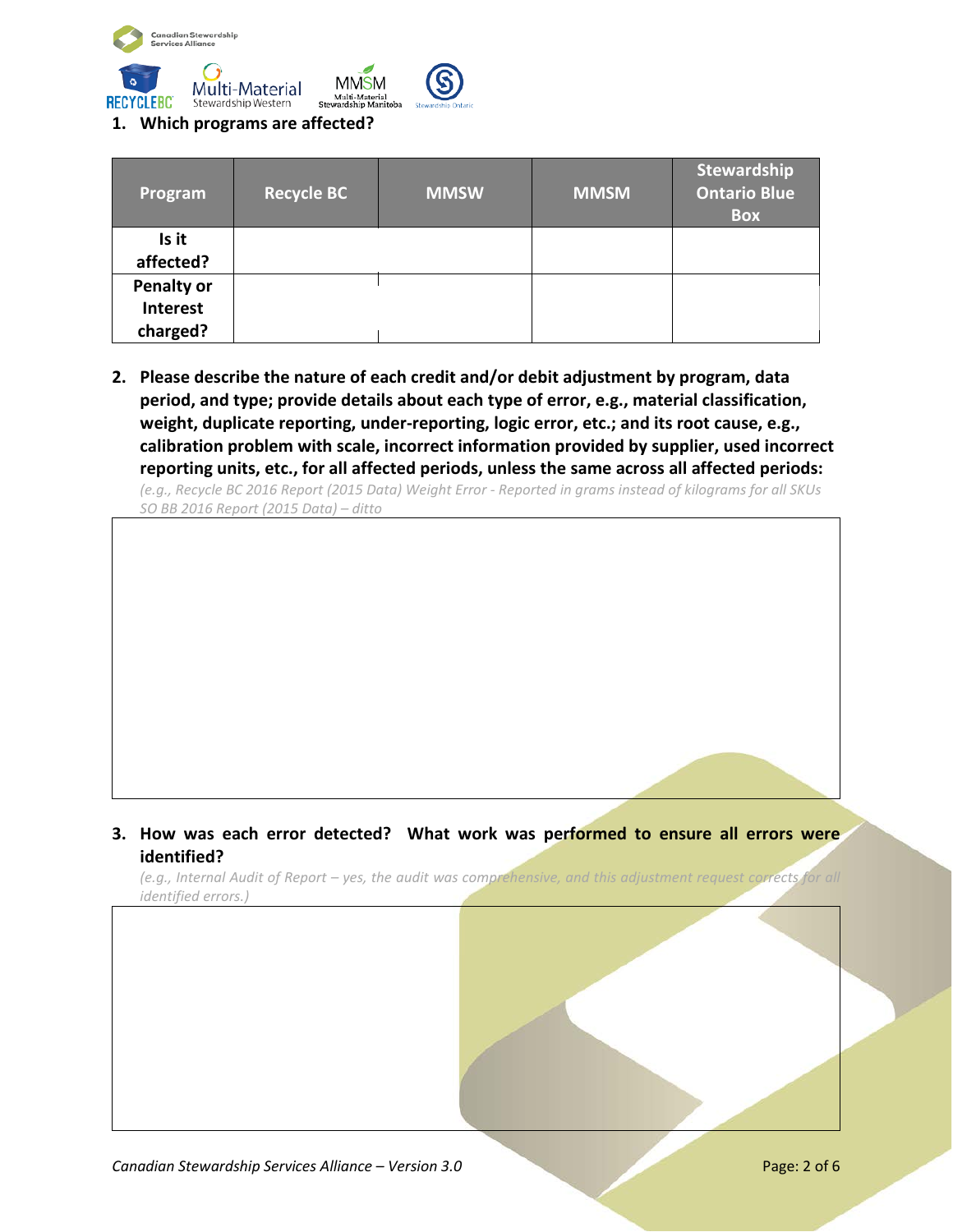



#### **1. Which programs are affected?**

| Program                                   | <b>Recycle BC</b> | <b>MMSW</b> | <b>MMSM</b> | Stewardship<br><b>Ontario Blue</b><br><b>Box</b> |
|-------------------------------------------|-------------------|-------------|-------------|--------------------------------------------------|
| Is it<br>affected?                        |                   |             |             |                                                  |
| <b>Penalty or</b><br>Interest<br>charged? |                   |             |             |                                                  |

**2. Please describe the nature of each credit and/or debit adjustment by program, data period, and type; provide details about each type of error, e.g., material classification, weight, duplicate reporting, under-reporting, logic error, etc.; and its root cause, e.g., calibration problem with scale, incorrect information provided by supplier, used incorrect reporting units, etc., for all affected periods, unless the same across all affected periods:**

*(e.g., Recycle BC 2016 Report (2015 Data) Weight Error - Reported in grams instead of kilograms for all SKUs SO BB 2016 Report (2015 Data) – ditto*

#### **3. How was each error detected? What work was performed to ensure all errors were identified?**

*(e.g., Internal Audit of Report – yes, the audit was comprehensive, and this adjustment request corrects for all identified errors.)*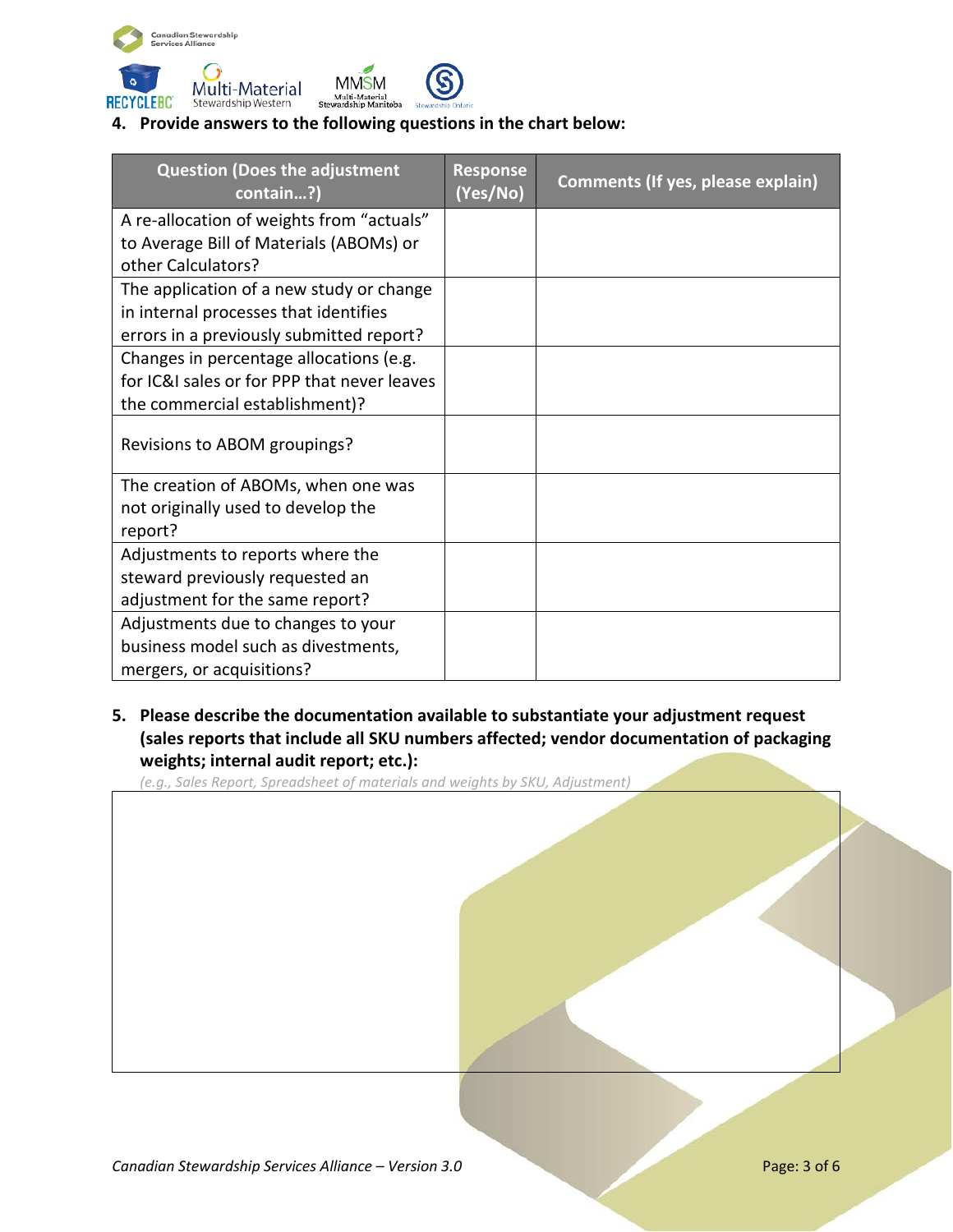



# **4. Provide answers to the following questions in the chart below:**

| <b>Question (Does the adjustment</b><br>contain?) | <b>Response</b><br>(Yes/No) | Comments (If yes, please explain) |
|---------------------------------------------------|-----------------------------|-----------------------------------|
| A re-allocation of weights from "actuals"         |                             |                                   |
| to Average Bill of Materials (ABOMs) or           |                             |                                   |
| other Calculators?                                |                             |                                   |
| The application of a new study or change          |                             |                                   |
| in internal processes that identifies             |                             |                                   |
| errors in a previously submitted report?          |                             |                                   |
| Changes in percentage allocations (e.g.           |                             |                                   |
| for IC&I sales or for PPP that never leaves       |                             |                                   |
| the commercial establishment)?                    |                             |                                   |
| Revisions to ABOM groupings?                      |                             |                                   |
| The creation of ABOMs, when one was               |                             |                                   |
| not originally used to develop the                |                             |                                   |
| report?                                           |                             |                                   |
| Adjustments to reports where the                  |                             |                                   |
| steward previously requested an                   |                             |                                   |
| adjustment for the same report?                   |                             |                                   |
| Adjustments due to changes to your                |                             |                                   |
| business model such as divestments,               |                             |                                   |
| mergers, or acquisitions?                         |                             |                                   |

# **5. Please describe the documentation available to substantiate your adjustment request (sales reports that include all SKU numbers affected; vendor documentation of packaging weights; internal audit report; etc.):**

*(e.g., Sales Report, Spreadsheet of materials and weights by SKU, Adjustment)*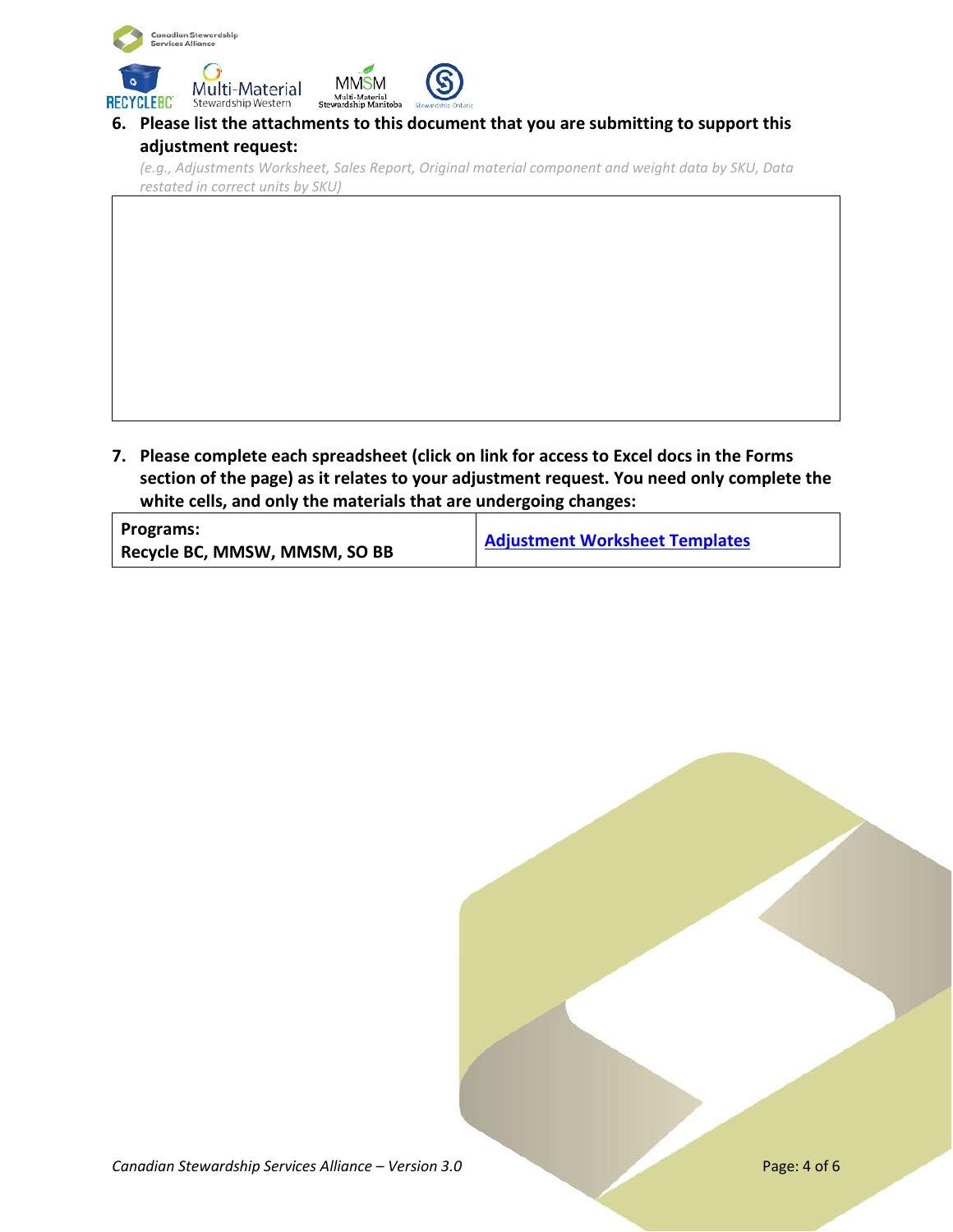

### **6. Please list the attachments to this document that you are submitting to support this adjustment request:**

*(e.g., Adjustments Worksheet, Sales Report, Original material component and weight data by SKU, Data restated in correct units by SKU)*

**7. Please complete each spreadsheet (click on link for access to Excel docs in the Forms section of the page) as it relates to your adjustment request. You need only complete the white cells, and only the materials that are undergoing changes:**

| Programs:                     | <b>Adjustment Worksheet Templates</b> |  |
|-------------------------------|---------------------------------------|--|
| Recycle BC, MMSW, MMSM, SO BB |                                       |  |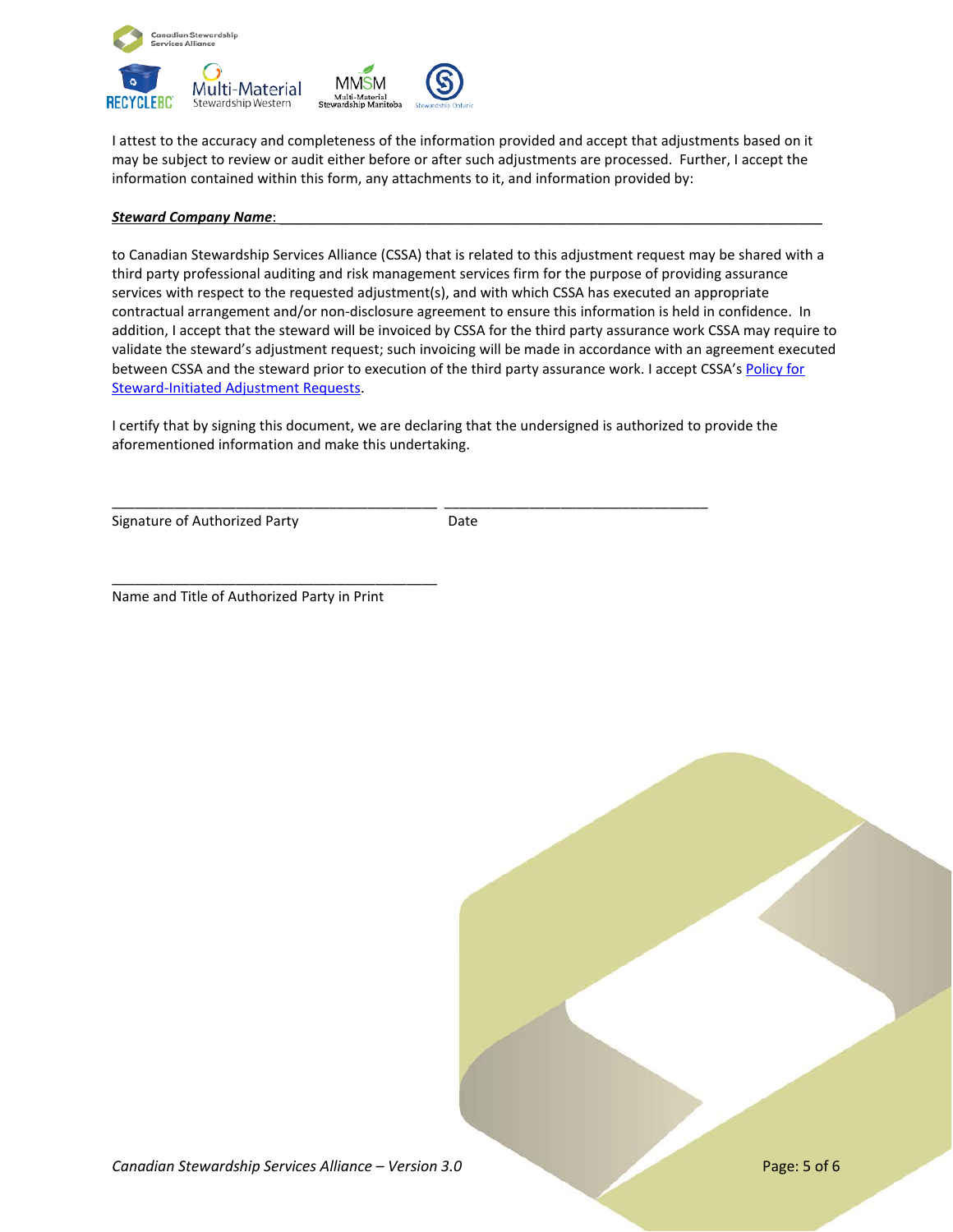

I attest to the accuracy and completeness of the information provided and accept that adjustments based on it may be subject to review or audit either before or after such adjustments are processed. Further, I accept the information contained within this form, any attachments to it, and information provided by:

#### *Steward Company Name:*

to Canadian Stewardship Services Alliance (CSSA) that is related to this adjustment request may be shared with a third party professional auditing and risk management services firm for the purpose of providing assurance services with respect to the requested adjustment(s), and with which CSSA has executed an appropriate contractual arrangement and/or non-disclosure agreement to ensure this information is held in confidence. In addition, I accept that the steward will be invoiced by CSSA for the third party assurance work CSSA may require to validate the steward's adjustment request; such invoicing will be made in accordance with an agreement executed between CSSA and the steward prior to execution of the third party assurance work. I accept CSSA's Policy for [Steward-Initiated Adjustment Requests.](https://www.cssalliance.ca/currentpolicies/)

I certify that by signing this document, we are declaring that the undersigned is authorized to provide the aforementioned information and make this undertaking.

\_\_\_\_\_\_\_\_\_\_\_\_\_\_\_\_\_\_\_\_\_\_\_\_\_\_\_\_\_\_\_\_\_\_\_\_\_\_\_\_\_\_ \_\_\_\_\_\_\_\_\_\_\_\_\_\_\_\_\_\_\_\_\_\_\_\_\_\_\_\_\_\_\_\_\_\_

Signature of Authorized Party **Example 20 Signature** Date

Name and Title of Authorized Party in Print

\_\_\_\_\_\_\_\_\_\_\_\_\_\_\_\_\_\_\_\_\_\_\_\_\_\_\_\_\_\_\_\_\_\_\_\_\_\_\_\_\_\_